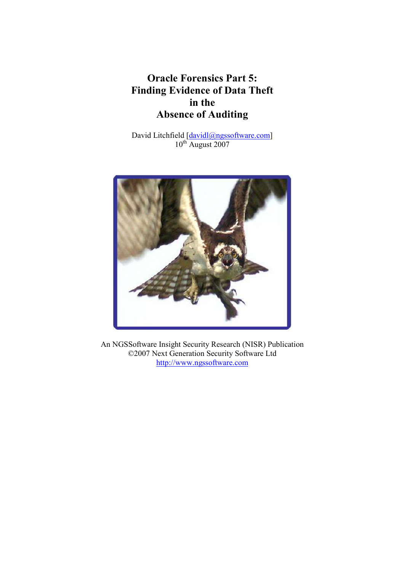# Oracle Forensics Part 5: Finding Evidence of Data Theft in the Absence of Auditing

David Litchfield [davidl@ngssoftware.com]  $10^{th}$  August 2007



An NGSSoftware Insight Security Research (NISR) Publication ©2007 Next Generation Security Software Ltd http://www.ngssoftware.com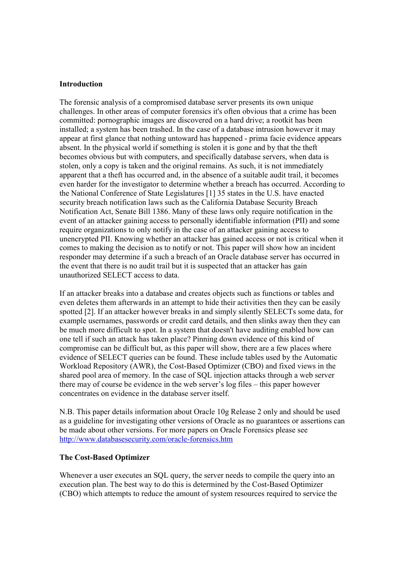## Introduction

The forensic analysis of a compromised database server presents its own unique challenges. In other areas of computer forensics it's often obvious that a crime has been committed: pornographic images are discovered on a hard drive; a rootkit has been installed; a system has been trashed. In the case of a database intrusion however it may appear at first glance that nothing untoward has happened - prima facie evidence appears absent. In the physical world if something is stolen it is gone and by that the theft becomes obvious but with computers, and specifically database servers, when data is stolen, only a copy is taken and the original remains. As such, it is not immediately apparent that a theft has occurred and, in the absence of a suitable audit trail, it becomes even harder for the investigator to determine whether a breach has occurred. According to the National Conference of State Legislatures [1] 35 states in the U.S. have enacted security breach notification laws such as the California Database Security Breach Notification Act, Senate Bill 1386. Many of these laws only require notification in the event of an attacker gaining access to personally identifiable information (PII) and some require organizations to only notify in the case of an attacker gaining access to unencrypted PII. Knowing whether an attacker has gained access or not is critical when it comes to making the decision as to notify or not. This paper will show how an incident responder may determine if a such a breach of an Oracle database server has occurred in the event that there is no audit trail but it is suspected that an attacker has gain unauthorized SELECT access to data.

If an attacker breaks into a database and creates objects such as functions or tables and even deletes them afterwards in an attempt to hide their activities then they can be easily spotted [2]. If an attacker however breaks in and simply silently SELECTs some data, for example usernames, passwords or credit card details, and then slinks away then they can be much more difficult to spot. In a system that doesn't have auditing enabled how can one tell if such an attack has taken place? Pinning down evidence of this kind of compromise can be difficult but, as this paper will show, there are a few places where evidence of SELECT queries can be found. These include tables used by the Automatic Workload Repository (AWR), the Cost-Based Optimizer (CBO) and fixed views in the shared pool area of memory. In the case of SQL injection attacks through a web server there may of course be evidence in the web server's log files – this paper however concentrates on evidence in the database server itself.

N.B. This paper details information about Oracle 10g Release 2 only and should be used as a guideline for investigating other versions of Oracle as no guarantees or assertions can be made about other versions. For more papers on Oracle Forensics please see http://www.databasesecurity.com/oracle-forensics.htm

### The Cost-Based Optimizer

Whenever a user executes an SQL query, the server needs to compile the query into an execution plan. The best way to do this is determined by the Cost-Based Optimizer (CBO) which attempts to reduce the amount of system resources required to service the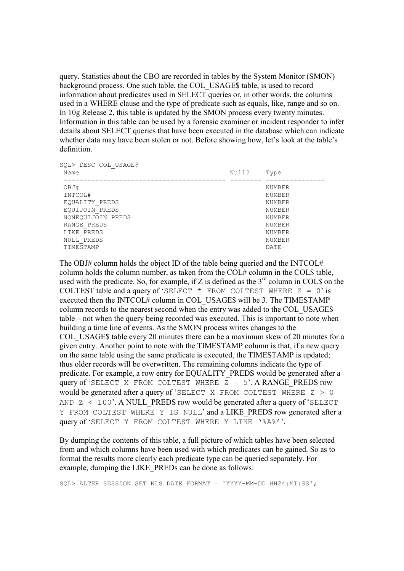query. Statistics about the CBO are recorded in tables by the System Monitor (SMON) background process. One such table, the COL\_USAGE\$ table, is used to record information about predicates used in SELECT queries or, in other words, the columns used in a WHERE clause and the type of predicate such as equals, like, range and so on. In 10g Release 2, this table is updated by the SMON process every twenty minutes. Information in this table can be used by a forensic examiner or incident responder to infer details about SELECT queries that have been executed in the database which can indicate whether data may have been stolen or not. Before showing how, let's look at the table's definition.

| OBJ#              | <b>NUMBER</b> |
|-------------------|---------------|
| INTCOL#           | NUMBER        |
| EOUALITY PREDS    | NUMBER        |
| EQUIJOIN PREDS    | <b>NUMBER</b> |
| NONEOUIJOIN PREDS | <b>NUMBER</b> |
| RANGE PREDS       | <b>NUMBER</b> |
| LIKE PREDS        | <b>NUMBER</b> |
| NULL PREDS        | <b>NUMBER</b> |
| TIMESTAMP         | DATE          |

The OBJ# column holds the object ID of the table being queried and the INTCOL# column holds the column number, as taken from the COL# column in the COL\$ table, used with the predicate. So, for example, if Z is defined as the  $3<sup>rd</sup>$  column in COL\$ on the COLTEST table and a query of 'SELECT  $*$  FROM COLTEST WHERE  $Z = 0$ ' is executed then the INTCOL# column in COL\_USAGE\$ will be 3. The TIMESTAMP column records to the nearest second when the entry was added to the COL\_USAGE\$ table – not when the query being recorded was executed. This is important to note when building a time line of events. As the SMON process writes changes to the COL\_USAGE\$ table every 20 minutes there can be a maximum skew of 20 minutes for a given entry. Another point to note with the TIMESTAMP column is that, if a new query on the same table using the same predicate is executed, the TIMESTAMP is updated; thus older records will be overwritten. The remaining columns indicate the type of predicate. For example, a row entry for EQUALITY\_PREDS would be generated after a query of 'SELECT X FROM COLTEST WHERE  $Z = 5$ '. A RANGE PREDS row would be generated after a query of 'SELECT X FROM COLTEST WHERE Z > 0 AND  $Z < 100'$ . A NULL PREDS row would be generated after a query of 'SELECT Y FROM COLTEST WHERE Y IS NULL' and a LIKE\_PREDS row generated after a query of 'SELECT Y FROM COLTEST WHERE Y LIKE '%A%''.

By dumping the contents of this table, a full picture of which tables have been selected from and which columns have been used with which predicates can be gained. So as to format the results more clearly each predicate type can be queried separately. For example, dumping the LIKE\_PREDs can be done as follows:

SQL> ALTER SESSION SET NLS\_DATE\_FORMAT = 'YYYY-MM-DD HH24:MI:SS';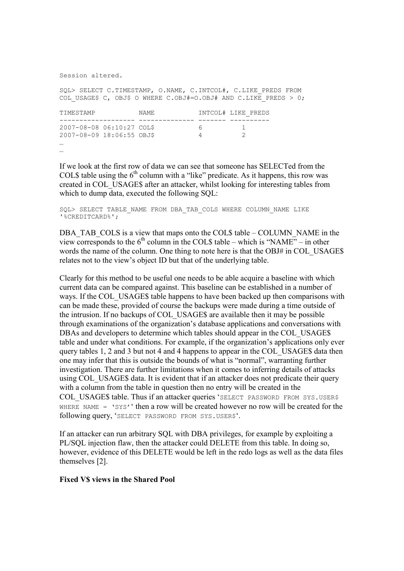#### Session altered.

SQL> SELECT C.TIMESTAMP, O.NAME, C.INTCOL#, C.LIKE\_PREDS FROM COL USAGE\$ C, OBJ\$ O WHERE C.OBJ#=O.OBJ# AND C.LIKE PREDS > 0;

| TIMESTAMP                 |  | NAME. |   | INTCOL# LIKE PREDS |  |
|---------------------------|--|-------|---|--------------------|--|
|                           |  |       |   |                    |  |
| 2007-08-08 06:10:27 COL\$ |  |       | h |                    |  |
| 2007-08-09 18:06:55 OBJ\$ |  |       |   |                    |  |
| $\cdots$                  |  |       |   |                    |  |
| $\cdots$                  |  |       |   |                    |  |

If we look at the first row of data we can see that someone has SELECTed from the COL\$ table using the  $6<sup>th</sup>$  column with a "like" predicate. As it happens, this row was created in COL\_USAGE\$ after an attacker, whilst looking for interesting tables from which to dump data, executed the following SQL:

SQL> SELECT TABLE NAME FROM DBA TAB COLS WHERE COLUMN NAME LIKE '%CREDITCARD%';

DBA\_TAB\_COLS is a view that maps onto the COL\$ table – COLUMN\_NAME in the view corresponds to the  $6<sup>th</sup>$  column in the COL\$ table – which is "NAME" – in other words the name of the column. One thing to note here is that the OBJ# in COL\_USAGE\$ relates not to the view's object ID but that of the underlying table.

Clearly for this method to be useful one needs to be able acquire a baseline with which current data can be compared against. This baseline can be established in a number of ways. If the COL USAGE\$ table happens to have been backed up then comparisons with can be made these, provided of course the backups were made during a time outside of the intrusion. If no backups of COL\_USAGE\$ are available then it may be possible through examinations of the organization's database applications and conversations with DBAs and developers to determine which tables should appear in the COL USAGE\$ table and under what conditions. For example, if the organization's applications only ever query tables 1, 2 and 3 but not 4 and 4 happens to appear in the COL\_USAGE\$ data then one may infer that this is outside the bounds of what is "normal", warranting further investigation. There are further limitations when it comes to inferring details of attacks using COL USAGE\$ data. It is evident that if an attacker does not predicate their query with a column from the table in question then no entry will be created in the COL USAGE\$ table. Thus if an attacker queries 'SELECT PASSWORD FROM SYS.USER\$ WHERE NAME =  $\text{ysy}'$  then a row will be created however no row will be created for the following query, 'SELECT PASSWORD FROM SYS.USER\$'.

If an attacker can run arbitrary SQL with DBA privileges, for example by exploiting a PL/SQL injection flaw, then the attacker could DELETE from this table. In doing so, however, evidence of this DELETE would be left in the redo logs as well as the data files themselves [2].

## Fixed V\$ views in the Shared Pool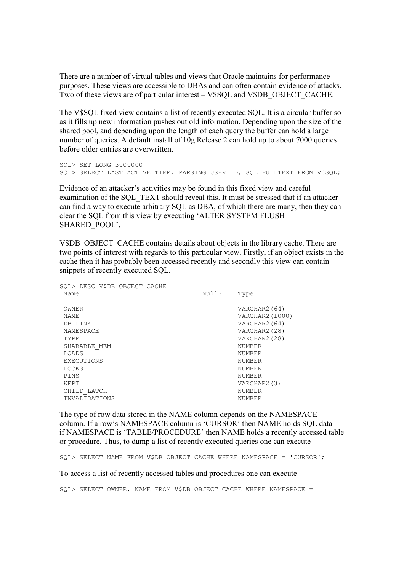There are a number of virtual tables and views that Oracle maintains for performance purposes. These views are accessible to DBAs and can often contain evidence of attacks. Two of these views are of particular interest – V\$SQL and V\$DB\_OBJECT\_CACHE.

The V\$SQL fixed view contains a list of recently executed SQL. It is a circular buffer so as it fills up new information pushes out old information. Depending upon the size of the shared pool, and depending upon the length of each query the buffer can hold a large number of queries. A default install of 10g Release 2 can hold up to about 7000 queries before older entries are overwritten.

```
SQL> SET LONG 3000000 
SQL> SELECT LAST ACTIVE TIME, PARSING USER ID, SQL FULLTEXT FROM V$SQL;
```
Evidence of an attacker's activities may be found in this fixed view and careful examination of the SQL\_TEXT should reveal this. It must be stressed that if an attacker can find a way to execute arbitrary SQL as DBA, of which there are many, then they can clear the SQL from this view by executing 'ALTER SYSTEM FLUSH SHARED\_POOL'.

V\$DB\_OBJECT\_CACHE contains details about objects in the library cache. There are two points of interest with regards to this particular view. Firstly, if an object exists in the cache then it has probably been accessed recently and secondly this view can contain snippets of recently executed SQL.

| SQL> DESC V\$DB OBJECT CACHE |       |                 |
|------------------------------|-------|-----------------|
| Name                         | Null? | Type            |
|                              |       |                 |
| OWNER                        |       | VARCHAR2 (64)   |
| <b>NAME</b>                  |       | VARCHAR2 (1000) |
| DB LINK                      |       | VARCHAR2 (64)   |
| NAMESPACE                    |       | VARCHAR2(28)    |
| TYPE                         |       | VARCHAR2 (28)   |
| SHARABLE MEM                 |       | <b>NUMBER</b>   |
| LOADS                        |       | <b>NUMBER</b>   |
| <b>EXECUTIONS</b>            |       | <b>NUMBER</b>   |
| LOCKS                        |       | <b>NUMBER</b>   |
| PINS                         |       | <b>NUMBER</b>   |
| KEPT                         |       | VARCHAR2(3)     |
| CHILD LATCH                  |       | <b>NUMBER</b>   |
| INVALIDATIONS                |       | <b>NUMBER</b>   |
|                              |       |                 |

The type of row data stored in the NAME column depends on the NAMESPACE column. If a row's NAMESPACE column is 'CURSOR' then NAME holds SQL data – if NAMESPACE is 'TABLE/PROCEDURE' then NAME holds a recently accessed table or procedure. Thus, to dump a list of recently executed queries one can execute

SQL> SELECT NAME FROM V\$DB OBJECT CACHE WHERE NAMESPACE = 'CURSOR';

To access a list of recently accessed tables and procedures one can execute

SOL> SELECT OWNER, NAME FROM V\$DB OBJECT CACHE WHERE NAMESPACE =